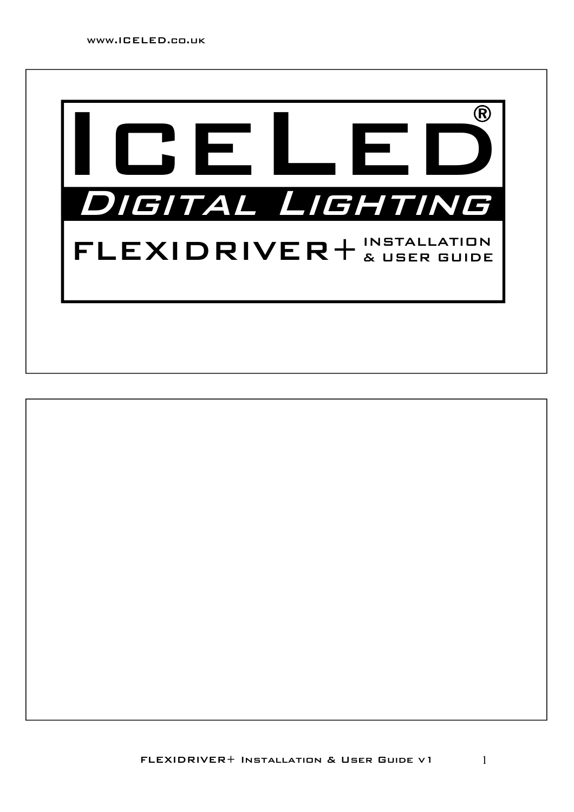

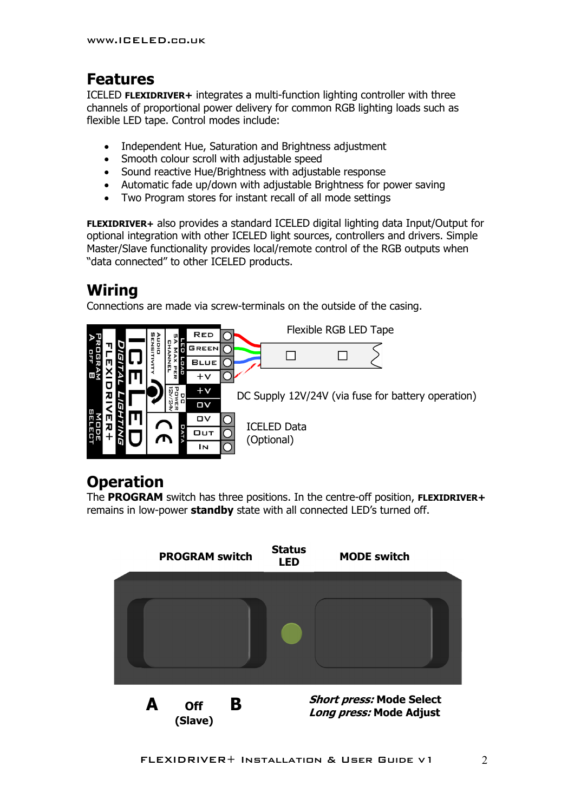## **Features**

ICELED **FLEXIDRIVER+** integrates a multi-function lighting controller with three channels of proportional power delivery for common RGB lighting loads such as flexible LED tape. Control modes include:

- Independent Hue, Saturation and Brightness adjustment
- Smooth colour scroll with adjustable speed
- Sound reactive Hue/Brightness with adjustable response
- Automatic fade up/down with adjustable Brightness for power saving
- Two Program stores for instant recall of all mode settings

**FLEXIDRIVER+** also provides a standard ICELED digital lighting data Input/Output for optional integration with other ICELED light sources, controllers and drivers. Simple Master/Slave functionality provides local/remote control of the RGB outputs when "data connected" to other ICELED products.

# **Wiring**

Connections are made via screw-terminals on the outside of the casing.



# **Operation**

The **PROGRAM** switch has three positions. In the centre-off position, **FLEXIDRIVER+** remains in low-power **standby** state with all connected LED's turned off.

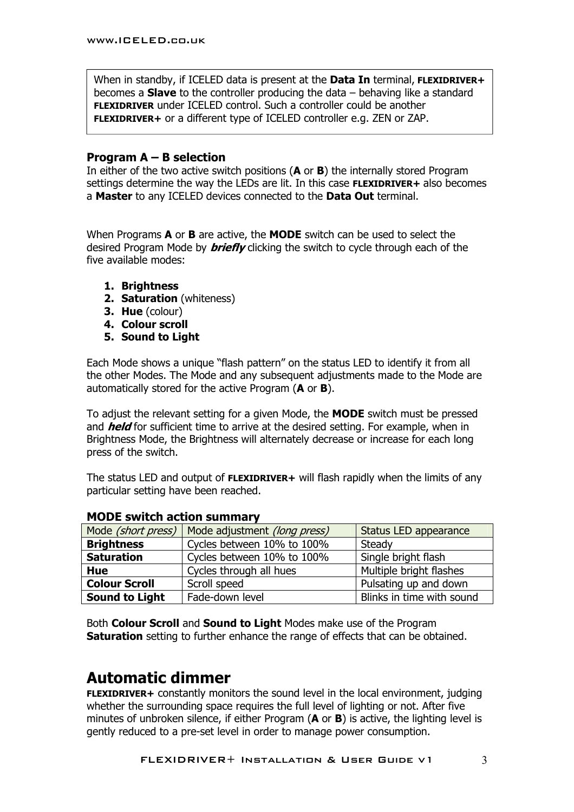When in standby, if ICELED data is present at the **Data In** terminal, **FLEXIDRIVER+** becomes a **Slave** to the controller producing the data – behaving like a standard **FLEXIDRIVER** under ICELED control. Such a controller could be another **FLEXIDRIVER+** or a different type of ICELED controller e.g. ZEN or ZAP.

#### **Program A – B selection**

In either of the two active switch positions (**A** or **B**) the internally stored Program settings determine the way the LEDs are lit. In this case **FLEXIDRIVER+** also becomes a **Master** to any ICELED devices connected to the **Data Out** terminal.

When Programs **A** or **B** are active, the **MODE** switch can be used to select the desired Program Mode by **briefly** clicking the switch to cycle through each of the five available modes:

- **1. Brightness**
- **2. Saturation** (whiteness)
- **3. Hue** (colour)
- **4. Colour scroll**
- **5. Sound to Light**

Each Mode shows a unique "flash pattern" on the status LED to identify it from all the other Modes. The Mode and any subsequent adjustments made to the Mode are automatically stored for the active Program (**A** or **B**).

To adjust the relevant setting for a given Mode, the **MODE** switch must be pressed and **held** for sufficient time to arrive at the desired setting. For example, when in Brightness Mode, the Brightness will alternately decrease or increase for each long press of the switch.

The status LED and output of **FLEXIDRIVER+** will flash rapidly when the limits of any particular setting have been reached.

| Mode (short press)    | Mode adjustment (long press) | Status LED appearance     |
|-----------------------|------------------------------|---------------------------|
| <b>Brightness</b>     | Cycles between 10% to 100%   | Steady                    |
| <b>Saturation</b>     | Cycles between 10% to 100%   | Single bright flash       |
| <b>Hue</b>            | Cycles through all hues      | Multiple bright flashes   |
| <b>Colour Scroll</b>  | Scroll speed                 | Pulsating up and down     |
| <b>Sound to Light</b> | Fade-down level              | Blinks in time with sound |

#### **MODE switch action summary**

Both **Colour Scroll** and **Sound to Light** Modes make use of the Program **Saturation** setting to further enhance the range of effects that can be obtained.

## **Automatic dimmer**

**FLEXIDRIVER+** constantly monitors the sound level in the local environment, judging whether the surrounding space requires the full level of lighting or not. After five minutes of unbroken silence, if either Program (**A** or **B**) is active, the lighting level is gently reduced to a pre-set level in order to manage power consumption.